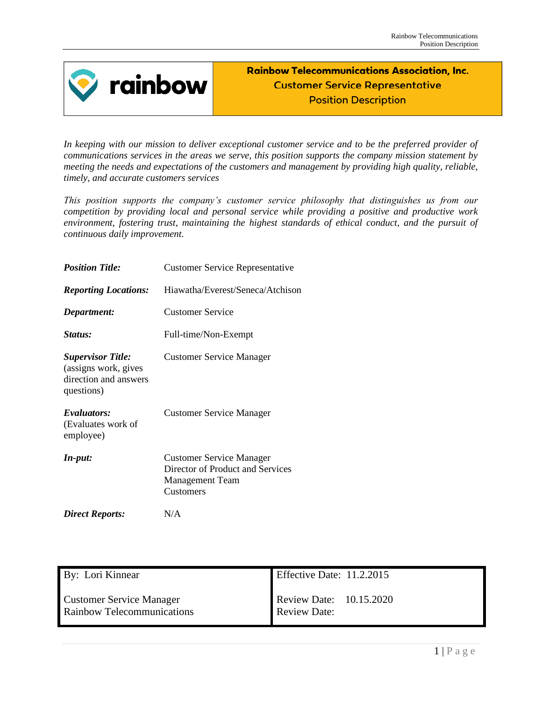

**Rainbow Telecommunications Association, Inc. Customer Service Representative Position Description** 

*In keeping with our mission to deliver exceptional customer service and to be the preferred provider of communications services in the areas we serve, this position supports the company mission statement by meeting the needs and expectations of the customers and management by providing high quality, reliable, timely, and accurate customers services*

*This position supports the company's customer service philosophy that distinguishes us from our competition by providing local and personal service while providing a positive and productive work environment, fostering trust, maintaining the highest standards of ethical conduct, and the pursuit of continuous daily improvement.*

| <b>Position Title:</b>                                                                  | <b>Customer Service Representative</b>                                                                            |
|-----------------------------------------------------------------------------------------|-------------------------------------------------------------------------------------------------------------------|
| <b>Reporting Locations:</b>                                                             | Hiawatha/Everest/Seneca/Atchison                                                                                  |
| Department:                                                                             | Customer Service                                                                                                  |
| Status:                                                                                 | Full-time/Non-Exempt                                                                                              |
| <b>Supervisor Title:</b><br>(assigns work, gives<br>direction and answers<br>questions) | <b>Customer Service Manager</b>                                                                                   |
| Evaluators:<br>(Evaluates work of<br>employee)                                          | <b>Customer Service Manager</b>                                                                                   |
| In-put:                                                                                 | <b>Customer Service Manager</b><br>Director of Product and Services<br><b>Management Team</b><br><b>Customers</b> |
| <b>Direct Reports:</b>                                                                  | N/A                                                                                                               |

| By: Lori Kinnear                  | Effective Date: $11.2.2015$ |
|-----------------------------------|-----------------------------|
| <b>Customer Service Manager</b>   | Review Date: 10.15.2020     |
| <b>Rainbow Telecommunications</b> | <b>Review Date:</b>         |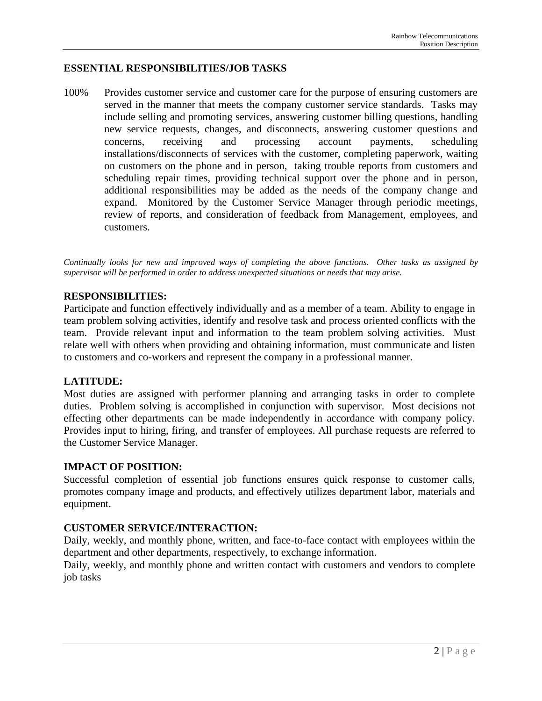## **ESSENTIAL RESPONSIBILITIES/JOB TASKS**

100% Provides customer service and customer care for the purpose of ensuring customers are served in the manner that meets the company customer service standards. Tasks may include selling and promoting services, answering customer billing questions, handling new service requests, changes, and disconnects, answering customer questions and concerns, receiving and processing account payments, scheduling installations/disconnects of services with the customer, completing paperwork, waiting on customers on the phone and in person, taking trouble reports from customers and scheduling repair times, providing technical support over the phone and in person, additional responsibilities may be added as the needs of the company change and expand. Monitored by the Customer Service Manager through periodic meetings, review of reports, and consideration of feedback from Management, employees, and customers.

*Continually looks for new and improved ways of completing the above functions. Other tasks as assigned by supervisor will be performed in order to address unexpected situations or needs that may arise.*

#### **RESPONSIBILITIES:**

Participate and function effectively individually and as a member of a team. Ability to engage in team problem solving activities, identify and resolve task and process oriented conflicts with the team. Provide relevant input and information to the team problem solving activities. Must relate well with others when providing and obtaining information, must communicate and listen to customers and co-workers and represent the company in a professional manner.

#### **LATITUDE:**

Most duties are assigned with performer planning and arranging tasks in order to complete duties. Problem solving is accomplished in conjunction with supervisor. Most decisions not effecting other departments can be made independently in accordance with company policy. Provides input to hiring, firing, and transfer of employees. All purchase requests are referred to the Customer Service Manager.

#### **IMPACT OF POSITION:**

Successful completion of essential job functions ensures quick response to customer calls, promotes company image and products, and effectively utilizes department labor, materials and equipment.

## **CUSTOMER SERVICE/INTERACTION:**

Daily, weekly, and monthly phone, written, and face-to-face contact with employees within the department and other departments, respectively, to exchange information.

Daily, weekly, and monthly phone and written contact with customers and vendors to complete job tasks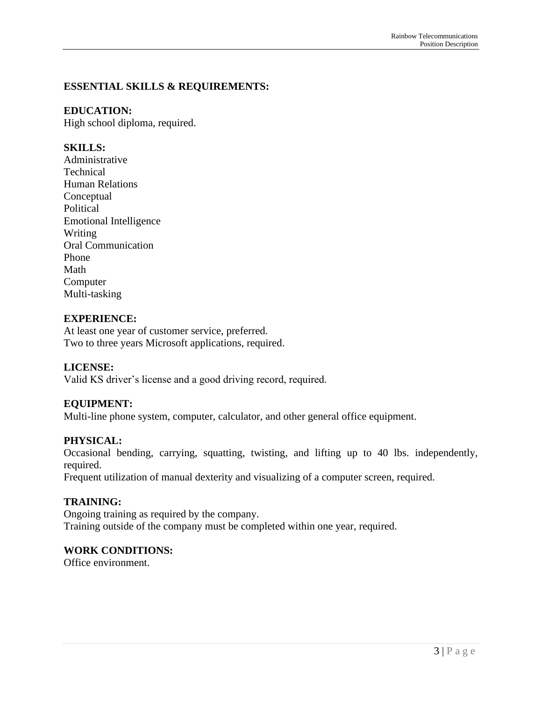## **ESSENTIAL SKILLS & REQUIREMENTS:**

#### **EDUCATION:**

High school diploma, required.

## **SKILLS:**

Administrative Technical Human Relations **Conceptual** Political Emotional Intelligence Writing Oral Communication Phone Math Computer Multi-tasking

## **EXPERIENCE:**

At least one year of customer service, preferred. Two to three years Microsoft applications, required.

## **LICENSE:**

Valid KS driver's license and a good driving record, required.

#### **EQUIPMENT:**

Multi-line phone system, computer, calculator, and other general office equipment.

## **PHYSICAL:**

Occasional bending, carrying, squatting, twisting, and lifting up to 40 lbs. independently, required.

Frequent utilization of manual dexterity and visualizing of a computer screen, required.

## **TRAINING:**

Ongoing training as required by the company. Training outside of the company must be completed within one year, required.

#### **WORK CONDITIONS:**

Office environment.